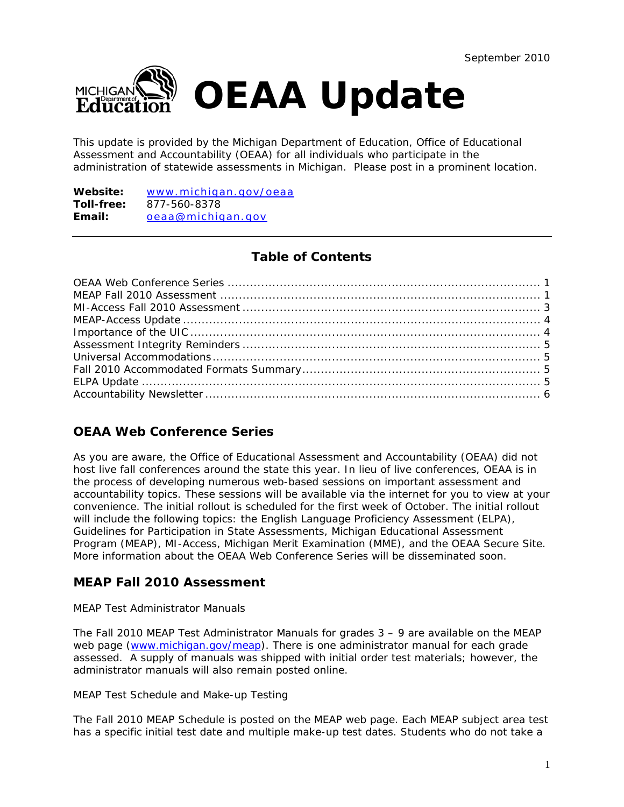

This update is provided by the Michigan Department of Education, Office of Educational Assessment and Accountability (OEAA) for all individuals who participate in the administration of statewide assessments in Michigan. Please post in a prominent location.

**Website:** [www.michigan.gov/oeaa](http://www.michigan.gov/oeaa) **Toll-free:** 877-560-8378 **Email:** [oeaa@michigan.gov](mailto:oeaa@michigan.gov)

# **Table of Contents**

# **OEAA Web Conference Series**

As you are aware, the Office of Educational Assessment and Accountability (OEAA) did not host live fall conferences around the state this year. In lieu of live conferences, OEAA is in the process of developing numerous web-based sessions on important assessment and accountability topics. These sessions will be available via the internet for you to view at your convenience. The initial rollout is scheduled for the first week of October. The initial rollout will include the following topics: the English Language Proficiency Assessment (ELPA), Guidelines for Participation in State Assessments, Michigan Educational Assessment Program (MEAP), MI-Access, Michigan Merit Examination (MME), and the OEAA Secure Site. More information about the OEAA Web Conference Series will be disseminated soon.

# **MEAP Fall 2010 Assessment**

## *MEAP Test Administrator Manuals*

The Fall 2010 MEAP Test Administrator Manuals for grades  $3 - 9$  are available on the MEAP web page [\(www.michigan.gov/meap](http://www.michigan.gov/meap)). There is one administrator manual for each grade assessed. A supply of manuals was shipped with initial order test materials; however, the administrator manuals will also remain posted online.

## *MEAP Test Schedule and Make-up Testing*

The Fall 2010 MEAP Schedule is posted on the MEAP web page. Each MEAP subject area test has a specific initial test date and multiple make-up test dates. Students who do not take a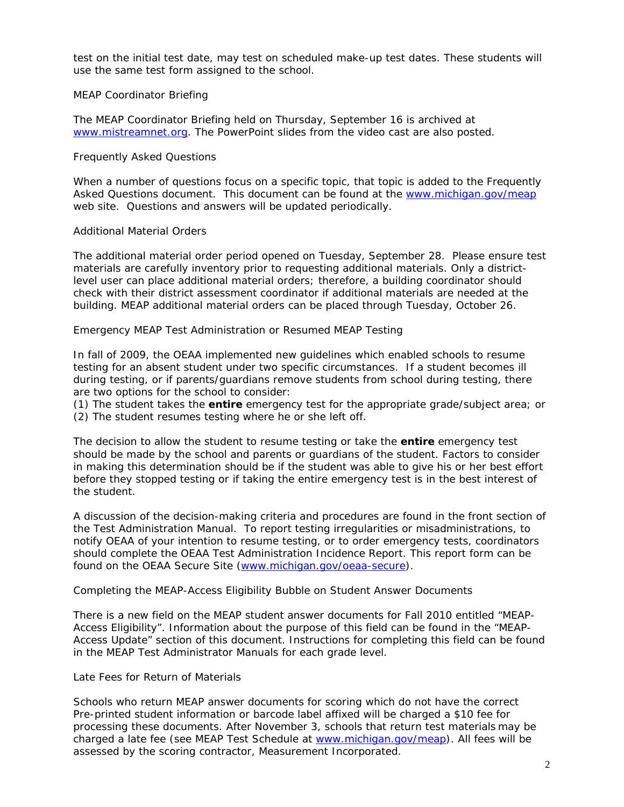test on the initial test date, may test on scheduled make-up test dates. These students will use the same test form assigned to the school.

## *MEAP Coordinator Briefing*

The MEAP Coordinator Briefing held on Thursday, September 16 is archived at [www.mistreamnet.org](http://www.mistreamnet.org/). The PowerPoint slides from the video cast are also posted.

### *Frequently Asked Questions*

When a number of questions focus on a specific topic, that topic is added to the Frequently Asked Questions document. This document can be found at the [www.michigan.gov/meap](http://www.michigan.gov/meap) web site. Questions and answers will be updated periodically.

### *Additional Material Orders*

The additional material order period opened on Tuesday, September 28. Please ensure test materials are carefully inventory prior to requesting additional materials. Only a districtlevel user can place additional material orders; therefore, a building coordinator should check with their district assessment coordinator if additional materials are needed at the building. MEAP additional material orders can be placed through Tuesday, October 26.

### *Emergency MEAP Test Administration or Resumed MEAP Testing*

In fall of 2009, the OEAA implemented new guidelines which enabled schools to resume testing for an absent student under two specific circumstances. If a student becomes ill during testing, or if parents/guardians remove students from school during testing, there are two options for the school to consider:

(1) The student takes the **entire** emergency test for the appropriate grade/subject area; or

(2) The student resumes testing where he or she left off.

The decision to allow the student to resume testing or take the **entire** emergency test should be made by the school *and* parents or guardians of the student. Factors to consider in making this determination should be if the student was able to give his or her best effort before they stopped testing or if taking the entire emergency test is in the best interest of the student.

A discussion of the decision-making criteria and procedures are found in the front section of the Test Administration Manual. To report testing irregularities or misadministrations, to notify OEAA of your intention to resume testing, or to order emergency tests, coordinators should complete the *OEAA Test Administration Incidence Report*. This report form can be found on the OEAA Secure Site ([www.michigan.gov/oeaa-secure](http://www.michigan.gov/oeaa-secure)).

#### *Completing the MEAP-Access Eligibility Bubble on Student Answer Documents*

There is a new field on the MEAP student answer documents for Fall 2010 entitled "MEAP-Access Eligibility". Information about the purpose of this field can be found in the "MEAP-Access Update" section of this document. Instructions for completing this field can be found in the MEAP Test Administrator Manuals for each grade level.

#### *Late Fees for Return of Materials*

Schools who return MEAP answer documents for scoring which do not have the correct Pre-printed student information or barcode label affixed will be charged a \$10 fee for processing these documents. After November 3, schools that return test materials may be charged a late fee (see MEAP Test Schedule at [www.michigan.gov/meap\)](http://www.michigan.gov/meap). All fees will be assessed by the scoring contractor, Measurement Incorporated.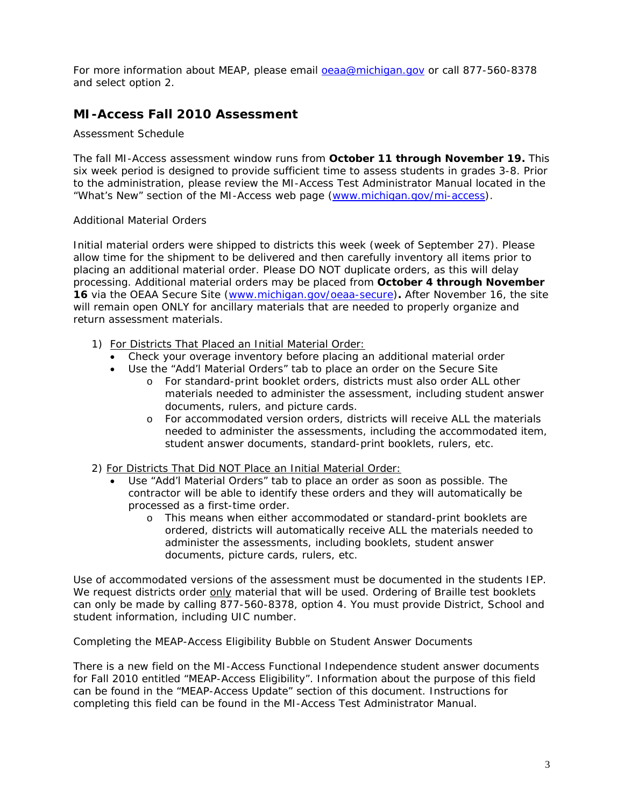For more information about MEAP, please email [oeaa@michigan.gov](mailto:oeaa@michigan.gov) or call 877-560-8378 and select option 2.

# **MI-Access Fall 2010 Assessment**

## *Assessment Schedule*

The fall MI-Access assessment window runs from **October 11 through November 19.** This six week period is designed to provide sufficient time to assess students in grades 3-8. Prior to the administration, please review the MI-Access Test Administrator Manual located in the "What's New" section of the MI-Access web page [\(www.michigan.gov/mi-access](http://www.michigan.gov/mi-access)).

### *Additional Material Orders*

Initial material orders were shipped to districts this week (week of September 27). Please allow time for the shipment to be delivered and then carefully inventory all items prior to placing an additional material order. Please DO NOT duplicate orders, as this will delay processing. Additional material orders may be placed from **October 4 through November 16** via the OEAA Secure Site ([www.michigan.gov/oeaa-secure\)](http://www.michigan.gov/oeaa-secure)**.** After November 16, the site will remain open ONLY for ancillary materials that are needed to properly organize and return assessment materials.

- 1) For Districts That Placed an Initial Material Order:
	- Check your overage inventory before placing an additional material order
	- Use the "Add'l Material Orders" tab to place an order on the Secure Site
		- o For standard-print booklet orders, districts must also order ALL other materials needed to administer the assessment, including student answer documents, rulers, and picture cards.
		- o For accommodated version orders, districts will receive ALL the materials needed to administer the assessments, including the accommodated item, student answer documents, standard-print booklets, rulers, etc.
- 2) For Districts That Did NOT Place an Initial Material Order:
	- Use "Add'l Material Orders" tab to place an order as soon as possible. The contractor will be able to identify these orders and they will automatically be processed as a first-time order.
		- o This means when either accommodated or standard-print booklets are ordered, districts will automatically receive ALL the materials needed to administer the assessments, including booklets, student answer documents, picture cards, rulers, etc.

Use of accommodated versions of the assessment must be documented in the students IEP. We request districts order only material that will be used. Ordering of Braille test booklets can only be made by calling 877-560-8378, option 4. You must provide District, School and student information, including UIC number.

#### *Completing the MEAP-Access Eligibility Bubble on Student Answer Documents*

There is a new field on the MI-Access Functional Independence student answer documents for Fall 2010 entitled "MEAP-Access Eligibility". Information about the purpose of this field can be found in the "MEAP-Access Update" section of this document. Instructions for completing this field can be found in the MI-Access Test Administrator Manual.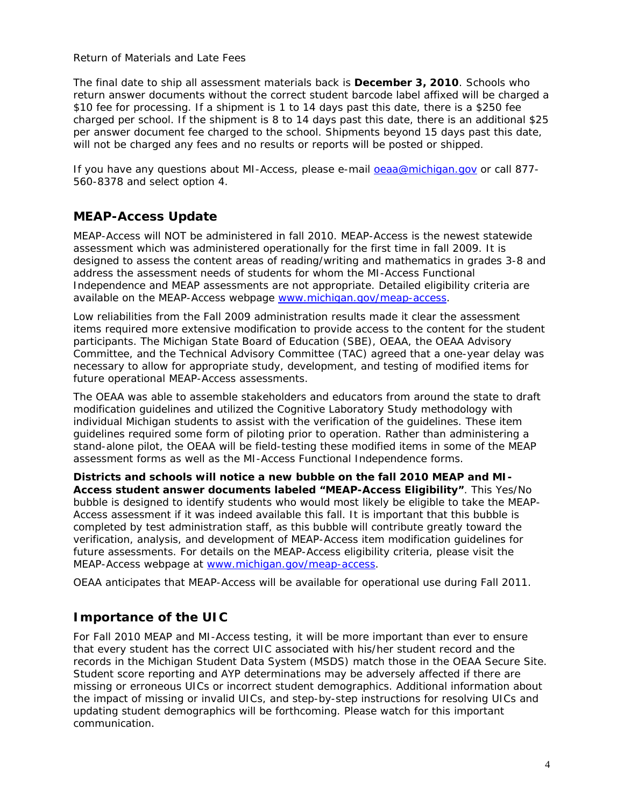## *Return of Materials and Late Fees*

The final date to ship all assessment materials back is **December 3, 2010**. Schools who return answer documents without the correct student barcode label affixed will be charged a \$10 fee for processing. If a shipment is 1 to 14 days past this date, there is a \$250 fee charged per school. If the shipment is 8 to 14 days past this date, there is an additional \$25 per answer document fee charged to the school. Shipments beyond 15 days past this date, will not be charged any fees and no results or reports will be posted or shipped.

If you have any questions about MI-Access, please e-mail [oeaa@michigan.gov](mailto:oeaa@michigan.gov) or call 877- 560-8378 and select option 4.

## **MEAP-Access Update**

MEAP-Access will NOT be administered in fall 2010. MEAP-Access is the newest statewide assessment which was administered operationally for the first time in fall 2009. It is designed to assess the content areas of reading/writing and mathematics in grades 3-8 and address the assessment needs of students for whom the MI-Access Functional Independence and MEAP assessments are not appropriate. Detailed eligibility criteria are available on the MEAP-Access webpage [www.michigan.gov/meap-access](http://www.michigan.gov/meap-access).

Low reliabilities from the Fall 2009 administration results made it clear the assessment items required more extensive modification to provide access to the content for the student participants. The Michigan State Board of Education (SBE), OEAA, the OEAA Advisory Committee, and the Technical Advisory Committee (TAC) agreed that a one-year delay was necessary to allow for appropriate study, development, and testing of modified items for future operational MEAP-Access assessments.

The OEAA was able to assemble stakeholders and educators from around the state to draft modification guidelines and utilized the Cognitive Laboratory Study methodology with individual Michigan students to assist with the verification of the guidelines. These item guidelines required some form of piloting prior to operation. Rather than administering a stand-alone pilot, the OEAA will be field-testing these modified items in some of the MEAP assessment forms as well as the MI-Access Functional Independence forms.

*Districts and schools will notice a new bubble on the fall 2010 MEAP and MI-Access student answer documents labeled "MEAP-Access Eligibility"*. This Yes/No bubble is designed to identify students who would most likely be eligible to take the MEAP-Access assessment if it was indeed available this fall. It is important that this bubble is completed by test administration staff, as this bubble will contribute greatly toward the verification, analysis, and development of MEAP-Access item modification guidelines for future assessments. For details on the MEAP-Access eligibility criteria, please visit the MEAP-Access webpage at [www.michigan.gov/meap-access](http://www.michigan.gov/meap-access).

OEAA anticipates that MEAP-Access will be available for operational use during Fall 2011.

## **Importance of the UIC**

For Fall 2010 MEAP and MI-Access testing, it will be more important than ever to ensure that every student has the correct UIC associated with his/her student record and the records in the Michigan Student Data System (MSDS) match those in the OEAA Secure Site. Student score reporting and AYP determinations may be adversely affected if there are missing or erroneous UICs or incorrect student demographics. Additional information about the impact of missing or invalid UICs, and step-by-step instructions for resolving UICs and updating student demographics will be forthcoming. Please watch for this important communication.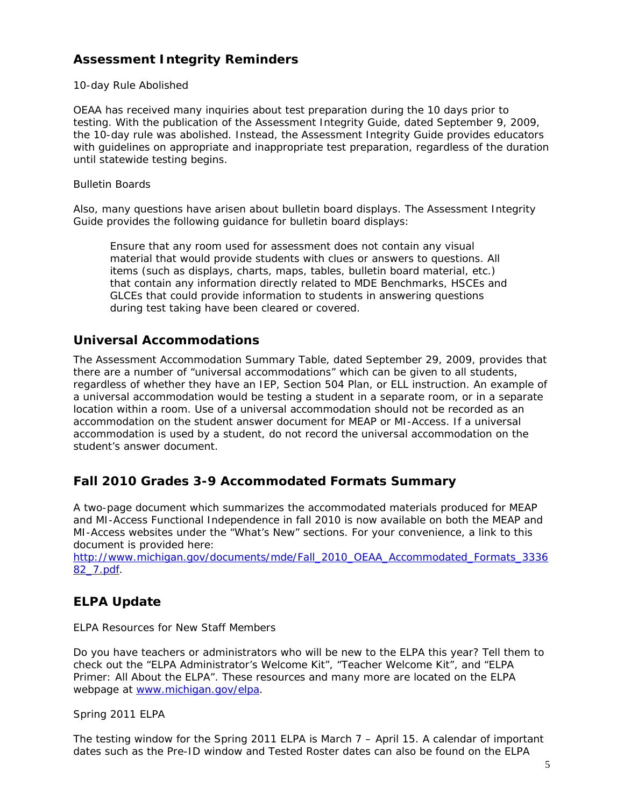# **Assessment Integrity Reminders**

## *10-day Rule Abolished*

OEAA has received many inquiries about test preparation during the 10 days prior to testing. With the publication of the *Assessment Integrity Guide*, dated September 9, 2009, the 10-day rule was abolished. Instead, the *Assessment Integrity Guide* provides educators with guidelines on appropriate and inappropriate test preparation, regardless of the duration until statewide testing begins.

## *Bulletin Boards*

Also, many questions have arisen about bulletin board displays. The *Assessment Integrity Guide* provides the following guidance for bulletin board displays:

Ensure that any room used for assessment does not contain any visual material that would provide students with clues or answers to questions. All items (such as displays, charts, maps, tables, bulletin board material, etc.) that contain any information directly related to MDE Benchmarks, HSCEs and GLCEs that could provide information to students in answering questions during test taking have been cleared or covered.

## **Universal Accommodations**

The *Assessment Accommodation Summary Table*, dated September 29, 2009, provides that there are a number of "universal accommodations" which can be given to all students, regardless of whether they have an IEP, Section 504 Plan, or ELL instruction. An example of a universal accommodation would be testing a student in a separate room, or in a separate location within a room. Use of a universal accommodation should not be recorded as an accommodation on the student answer document for MEAP or MI-Access. If a universal accommodation is used by a student, do not record the universal accommodation on the student's answer document.

## **Fall 2010 Grades 3-9 Accommodated Formats Summary**

A two-page document which summarizes the accommodated materials produced for MEAP and MI-Access Functional Independence in fall 2010 is now available on both the MEAP and MI-Access websites under the "What's New" sections. For your convenience, a link to this document is provided here:

[http://www.michigan.gov/documents/mde/Fall\\_2010\\_OEAA\\_Accommodated\\_Formats\\_3336](http://www.michigan.gov/documents/mde/Fall_2010_OEAA_Accommodated_Formats_333682_7.pdf) [82\\_7.pdf](http://www.michigan.gov/documents/mde/Fall_2010_OEAA_Accommodated_Formats_333682_7.pdf).

## **ELPA Update**

## *ELPA Resources for New Staff Members*

Do you have teachers or administrators who will be new to the ELPA this year? Tell them to check out the "ELPA Administrator's Welcome Kit", "Teacher Welcome Kit", and "ELPA Primer: All About the ELPA". These resources and many more are located on the ELPA webpage at [www.michigan.gov/elpa.](http://www.michigan.gov/elpa)

## *Spring 2011 ELPA*

The testing window for the Spring 2011 ELPA is March 7 – April 15. A calendar of important dates such as the Pre-ID window and Tested Roster dates can also be found on the ELPA